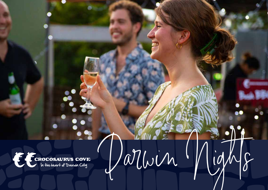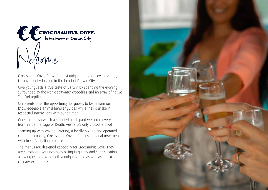

Crocosaurus Cove, Darwin's most unique and iconic event venue, is conveniently located in the heart of Darwin City.

Give your guests a true taste of Darwin by spending the evening surrounded by the iconic saltwater crocodiles and an array of native Top End reptiles.

Our events offer the opportunity for guests to learn from our knowledgeable animal handler guides while they partake in respectful interactions with our animals.

Guests can also watch a selected participant welcome everyone from inside the cage of Death, Australia's only crocodile dive!

Teaming up with Wixted Catering, a locally owned and operated catering company, Crocosaurus Cove offers inspirational new menus with fresh Australian produce.

The menus are designed especially for Crocosaurus Cove. They are substantial yet uncompromising in quality and sophistication, allowing us to provide both a unique venue as well as an exciting culinary experience.

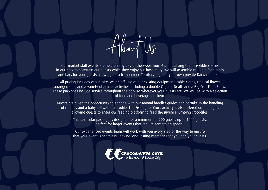

Our market stall events are held on any day of the week from 6 pm, utilising the incredible spaces in our park to entertain our guests while they enjoy our hospitality. We will assemble multiple food stalls and bars for your guests allowing for a truly unique Territory night at your own private Darwin market.

All pricing includes venue hire, wait staff, use of our existing equipment, table cloths, tropical flower arrangements and a variety of animal activities including a double Cage of Death and a Big Croc Feed Show. These packages include service throughout the park so wherever your guests are, we will be with a selection of food and beverage for them.

Guests are given the opportunity to engage with our animal handler guides and partake in the handling of reptiles and a baby saltwater crocodile. The Fishing for Crocs activity is also offered on the night, allowing guests to enter our feeding platform to feed the juvenile jumping crocodiles.

This particular package is designed for a minimum of 200 guests up to 1000 guests, perfect for larger events that require something special.

Our experienced events team will work with you every step of the way to ensure that your event is seamless, leaving long-lasting memories for you and your guests.

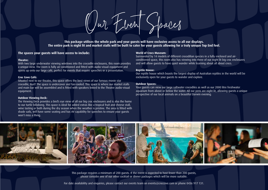Our Event Spaces

**This package utilises the whole park and your guests will have exclusive access to all our displays. The entire park is night lit and market stalls will be built to cater for your guests allowing for a truly unique Top End feel.** 

# **The spaces your guests will have access to include:**

#### **Theatre:**

With two large underwater viewing windows into the crocodile enclosures, this room provides a unique view. The room is fully air-conditioned and fitted with audio-visual equipment and opens up onto our large café, perfect for events that require speeches or a presentation.

### **Croc Cove Café:**

Situated next to our theatre, this space offers the best views of our famous movie star crocodile, Burt! The space is undercover and fan-cooled. This space is where our market stalls and main bar will be assembled and is fitted with speakers linked to the Theatre audio-visual equipment.

#### **Outdoor Viewing Deck:**

The Viewing Deck provides a bird's eye view of all our big croc enclosures and is also the home to our turtle billabong. This space is ideal for added extras like a tropical fruit and cheese stall, wine tasting or both during the dry season when the weather is pristine. The area is fitted with shade sails, will have some seating and has AV capability for speeches to ensure your guests won't miss a thing.

## **World of Crocs Museum:**

Surrounded by 14 models of different crocodilian species in a fully enclosed and airconditioned space, this room also has viewing into three of our night lit big croc enclosures and will allow guests to have quiet wander while learning about all about crocs.

#### **Reptile House:**

Our reptile house which boasts the largest display of Australian reptiles in the world will be exclusively open for your guests to wander and explore.

## **Outdoor Spaces:**

Your guests can view our large saltwater crocodiles as well as our 2000 litre freshwater aquarium from above or below the water. All our pens are night lit, allowing guests a unique perspective of our local animals on a beautiful Darwin evening.



This package requires a minimum of 200 guests. If the event is expected to host fewer than 200 guests, please consider one of our other cocktail or dinner packages which will be more suitable.

For date availability and enquiries, please contact our events team on events@croccove.com or phone 0436 917 131.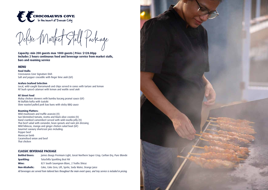

Deluxe Market Stall Package

**Capacity: min 200 guests max 1000 guests | Price: \$128.00pp Includes 2 hours continuous food and beverage service from market stalls, bars and roaming service**

## **MENU**

**Food Stalls:** Crocosaurus Cove Signature Dish Salt and pepper crocodile with finger lime aioli (GF)

#### **Arafura Seafood Selection**

Local, wild-caught Barramundi and chips served in cones with tartare and lemon NT bush spiced calamari with lemon and wattle seed aioli

## **NT Street Food**

Malay chicken skewers with bumbu kacang peanut sauce (GF) Nt Buffalo kofta with tzatziki Slow roasted pulled pork bao buns with sticky BBQ sauce

#### **Roaming Platters:**

Wild mushroom and truffle arancini (V) Sun blemished tomato, ricotta and black olive crostini (V) Hand crumbed camembert served with wild rosella jelly (V) Thai beef salad with coriander, bean sprouts and nam jim dressing Wild hibiscus, mango and ginger chicken salad boat (GF) Gourmet savoury shortcrust pies including: Pepper beef Moroccan lamb Caramelised onion and beef Thai chicken

# **CLASSIC BEVERAGE PACKAGE**

**Bottled Beers:** James Boags Premium Light, Great Northern Super Crisp, Carlton Dry, Pure Blonde **Sparkling:** Tatachilla Sparkling Brut NV **Wine:** 821 South Sauvignon Blanc, 2 Truths Shiraz **Non-Alcoholic:** Coke, Coke Zero, Lift, Sprite, Soda Water, Orange Juice

*All beverages are served from tailored bars throughout the main event space, and tray service is included in pricing.*

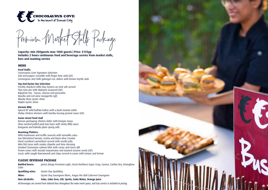

Premium Market Stalls Package

**Capacity: min 200guests max 1000 guests | Price: \$155pp Includes 2 hours continuous food and beverage service from market stalls, bars and roaming service**

## **MENU**

### **Food Stalls:**

Crocosaurus Cove Signature Selection Salt and pepper crocodile with finger lime aioli (GF) Lemongrass and chilli galangal croc sliders with lemon myrtle aioli

#### **Top End Oyster Bar Selection**

Freshly shucked Coffin Bay Oysters on rock salt served: Thai nam jim with Wakame seaweed (GF) Kilpatrick trio – bacon, chorizo and prosciutto Rosella and red wine vinaigrette (gf) Bloody Mary oyster shots Mojito oyster shots

#### **Darwin BBQ**

Spiced NT wild buffalo koftas with a bush tomato relish Malay chicken skewers with bumbu kacang peanut sauce (GF)

#### **Asian street food stall**

Korean gochujang chicken slider with Kewpie mayo Slow roasted pulled pork bao buns with sticky BBQ sauce Kangaroo and Kakadu plum spring rolls

#### **Roaming Platters:**

Wild mushroom and truffle arancini with tomatillo salsa Sun blemished tomato, ricotta and black olive Crostini Hand crumbed camembert served with rosella jelly Mini fish tacos with smoky chipotle and lime dressing Smoked Tasmanian salmon blini with caviar and micro dill Prawn cones with wasabi mayonnaise and toasted sesame seeds (GF) Local, wild-caught Barramundi and chips served in cones with tartare and lemon

# **CLASSIC BEVERAGE PACKAGE**

**Bottled beers:** James Boags Premium Light, Great Northern Super Crisp, Corona, Carlton Dry, Strongbow Cider **Sparkling wine:** Oyster Bay Sparkling **Wine: Wine:** Oyster Bay Sauvignon Blanc, Angus the Bull Cabernet Sauvignon

**Non-alcoholic: Coke, Coke Zero, Lift, Sprite, Soda Water, Orange Juice**

*All beverages are served from tailored bars throughout the main event space, and tray service is included in pricing.*

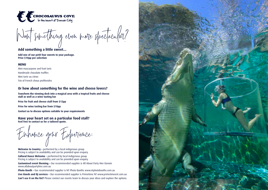

Want something even more spectacular?

# **Add something a little sweet…**

**Add one of our petit four sweets to your package. Price \$10pp per selection**

## **MENU**

Mini mascarpone and fruit tarts Handmade chocolate truffles Mini tarte au citron Trio of French choux profiteroles

# **Or how about something for the wine and cheese lovers?**

**Transform the viewing deck into a magical area with a tropical fruits and cheese stall as well as a wine tasting bar**

**Price for fruit and cheese stall from \$12pp**

**Price for wine tasting bar from \$10pp**

**Contact us to discuss options suitable to your requirements**

## **Have your heart set on a particular food stall? Feel free to contact us for a tailored quote.**

Enhance your Experience:

Welcome to Country - performed by a local indigenous group Pricing is subject to availability and can be provided upon enquiry. **Cultural Dance Welcome –** performed by local Indigenous group Pricing is subject to availability and can be provided upon enquiry.

**Customised event theming –** Our recommended supplier is All About Party Hire Darwin www.allaboutpartyhire.com.au

**Photo Booth –** Our recommended supplier is NT Photo Booths www.ntphotobooths.com.au **Live Bands and DJ services –** Our recommended supplier is Primetime NT www.primetimeent.com.au **Can't see it on the list?** Please contact our events team to discuss your ideas and explore the options.

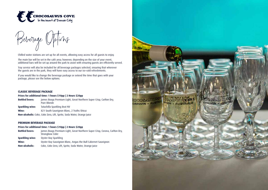



Chilled water stations are set up for all events, allowing easy access for all guests to enjoy.

The main bar will be set in the café area; however, depending on the size of your event, additional bars will be set up around the park to assist with ensuring guests are efficiently served.

Tray service will also be included for all beverage packages selected, ensuring that wherever the guests are in the park, they will have easy access to our ice-cold refreshments.

If you would like to change the beverage package or extend the time that goes with your package, please see the below options.

## **CLASSIC BEVERAGE PACKAGE**

**Prices for additional time: 1 hours \$10pp | 2 Hours \$20pp**

| <b>Bottled beers:</b> | James Boags Premium Light, Great Northern Super Crisp, Carlton Dry,<br>Pure Blonde |
|-----------------------|------------------------------------------------------------------------------------|
| Sparkling wine:       | Tatachilla Sparkling Brut NV                                                       |
| Wine:                 | 821 South Sauvignon Blanc, 2 Truths Shiraz                                         |
|                       | Non-alcoholic: Coke, Coke Zero, Lift, Sprite, Soda Water, Orange Juice             |

#### **PREMIUM BEVERAGE PACKAGE**

#### **Prices for additional time: 1 hours \$10pp | 2 Hours \$20pp**

| <b>Bottled beers:</b> | James Boags Premium Light, Great Northern Super Crisp, Corona, Carlton Dry,<br>Strongbow Cider |
|-----------------------|------------------------------------------------------------------------------------------------|
| Sparkling wine:       | Oyster Bay Sparkling                                                                           |
| Wine:                 | Oyster Bay Sauvignon Blanc, Angus the Bull Cabernet Sauvignon                                  |
| Non-alcoholic:        | Coke, Coke Zero, Lift, Sprite, Soda Water, Orange Juice                                        |